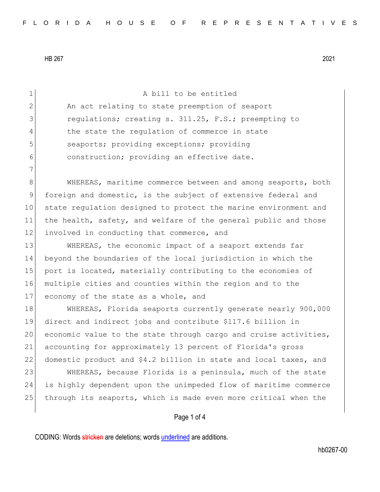| 1              | A bill to be entitled                                            |
|----------------|------------------------------------------------------------------|
| $\overline{2}$ | An act relating to state preemption of seaport                   |
| 3              | requlations; creating s. 311.25, F.S.; preempting to             |
| 4              | the state the regulation of commerce in state                    |
| 5              | seaports; providing exceptions; providing                        |
| 6              | construction; providing an effective date.                       |
| 7              |                                                                  |
| $8\,$          | WHEREAS, maritime commerce between and among seaports, both      |
| $\mathsf 9$    | foreign and domestic, is the subject of extensive federal and    |
| 10             | state regulation designed to protect the marine environment and  |
| 11             | the health, safety, and welfare of the general public and those  |
| 12             | involved in conducting that commerce, and                        |
| 13             | WHEREAS, the economic impact of a seaport extends far            |
| 14             | beyond the boundaries of the local jurisdiction in which the     |
| 15             | port is located, materially contributing to the economies of     |
| 16             | multiple cities and counties within the region and to the        |
| 17             | economy of the state as a whole, and                             |
| 18             | WHEREAS, Florida seaports currently generate nearly 900,000      |
| 19             | direct and indirect jobs and contribute \$117.6 billion in       |
| 20             | economic value to the state through cargo and cruise activities, |
| 21             | accounting for approximately 13 percent of Florida's gross       |
| 22             | domestic product and \$4.2 billion in state and local taxes, and |
| 23             | WHEREAS, because Florida is a peninsula, much of the state       |
| 24             | is highly dependent upon the unimpeded flow of maritime commerce |
| 25             | through its seaports, which is made even more critical when the  |
|                |                                                                  |
|                | Page 1 of 4                                                      |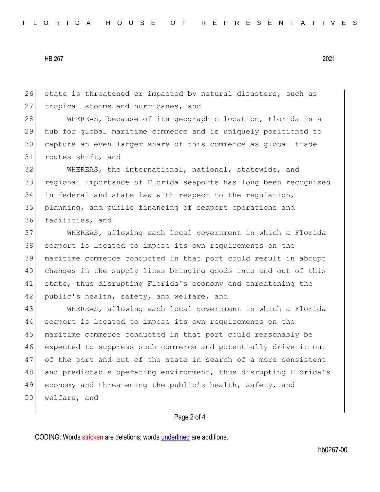26 state is threatened or impacted by natural disasters, such as 27 tropical storms and hurricanes, and

28 WHEREAS, because of its geographic location, Florida is a hub for global maritime commerce and is uniquely positioned to capture an even larger share of this commerce as global trade routes shift, and

 WHEREAS, the international, national, statewide, and regional importance of Florida seaports has long been recognized in federal and state law with respect to the regulation, planning, and public financing of seaport operations and facilities, and

 WHEREAS, allowing each local government in which a Florida seaport is located to impose its own requirements on the maritime commerce conducted in that port could result in abrupt changes in the supply lines bringing goods into and out of this state, thus disrupting Florida's economy and threatening the 42 public's health, safety, and welfare, and

 WHEREAS, allowing each local government in which a Florida seaport is located to impose its own requirements on the 45 maritime commerce conducted in that port could reasonably be expected to suppress such commerce and potentially drive it out of the port and out of the state in search of a more consistent 48 and predictable operating environment, thus disrupting Florida's 49 economy and threatening the public's health, safety, and welfare, and

## Page 2 of 4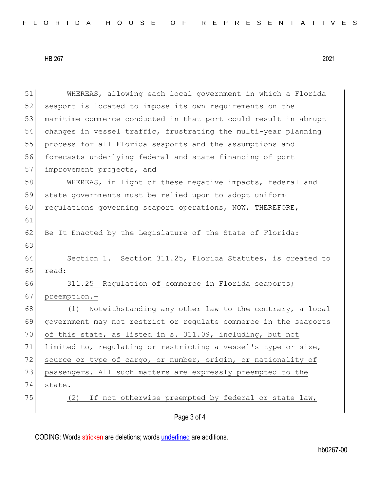| 51 | WHEREAS, allowing each local government in which a Florida       |
|----|------------------------------------------------------------------|
| 52 | seaport is located to impose its own requirements on the         |
| 53 | maritime commerce conducted in that port could result in abrupt  |
| 54 | changes in vessel traffic, frustrating the multi-year planning   |
| 55 | process for all Florida seaports and the assumptions and         |
| 56 | forecasts underlying federal and state financing of port         |
| 57 | improvement projects, and                                        |
| 58 | WHEREAS, in light of these negative impacts, federal and         |
| 59 | state governments must be relied upon to adopt uniform           |
| 60 | regulations governing seaport operations, NOW, THEREFORE,        |
| 61 |                                                                  |
| 62 | Be It Enacted by the Legislature of the State of Florida:        |
| 63 |                                                                  |
| 64 | Section 1. Section 311.25, Florida Statutes, is created to       |
| 65 | read:                                                            |
| 66 | 311.25 Regulation of commerce in Florida seaports;               |
| 67 | preemption.-                                                     |
| 68 | Notwithstanding any other law to the contrary, a local<br>(1)    |
| 69 | government may not restrict or regulate commerce in the seaports |
| 70 | of this state, as listed in s. 311.09, including, but not        |
| 71 | limited to, regulating or restricting a vessel's type or size,   |
| 72 | source or type of cargo, or number, origin, or nationality of    |
| 73 | passengers. All such matters are expressly preempted to the      |
| 74 | state.                                                           |
| 75 | If not otherwise preempted by federal or state law,<br>(2)       |
|    | Page 3 of 4                                                      |